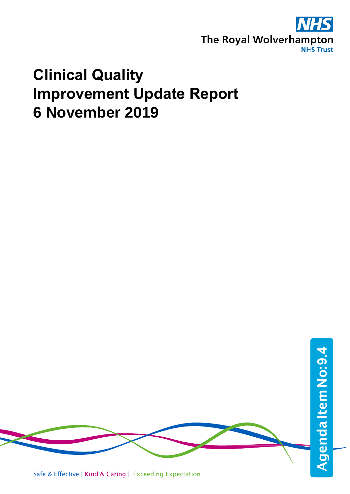

#### **Clinical Quality Improvement Update Report 6 November 2019**

Safe & Effective | Kind & Caring | Exceeding Expectation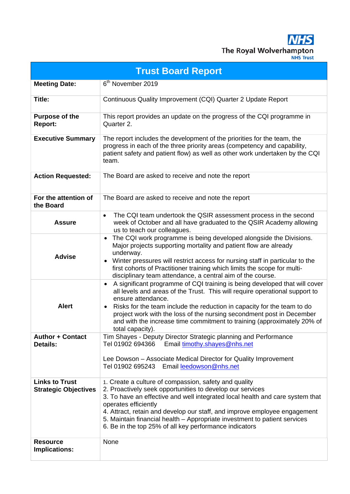**NHS** The Royal Wolverhampton

|                                                      | <b>Trust Board Report</b>                                                                                                                                                                                                                                                                                                                                                                                                                                    |  |  |  |  |
|------------------------------------------------------|--------------------------------------------------------------------------------------------------------------------------------------------------------------------------------------------------------------------------------------------------------------------------------------------------------------------------------------------------------------------------------------------------------------------------------------------------------------|--|--|--|--|
| <b>Meeting Date:</b>                                 | 6 <sup>th</sup> November 2019                                                                                                                                                                                                                                                                                                                                                                                                                                |  |  |  |  |
| Title:                                               | Continuous Quality Improvement (CQI) Quarter 2 Update Report                                                                                                                                                                                                                                                                                                                                                                                                 |  |  |  |  |
| <b>Purpose of the</b><br>Report:                     | This report provides an update on the progress of the CQI programme in<br>Quarter 2.                                                                                                                                                                                                                                                                                                                                                                         |  |  |  |  |
| <b>Executive Summary</b>                             | The report includes the development of the priorities for the team, the<br>progress in each of the three priority areas (competency and capability,<br>patient safety and patient flow) as well as other work undertaken by the CQI<br>team.                                                                                                                                                                                                                 |  |  |  |  |
| <b>Action Requested:</b>                             | The Board are asked to receive and note the report                                                                                                                                                                                                                                                                                                                                                                                                           |  |  |  |  |
| For the attention of<br>the Board                    | The Board are asked to receive and note the report                                                                                                                                                                                                                                                                                                                                                                                                           |  |  |  |  |
| <b>Assure</b>                                        | The CQI team undertook the QSIR assessment process in the second<br>$\bullet$<br>week of October and all have graduated to the QSIR Academy allowing<br>us to teach our colleagues.                                                                                                                                                                                                                                                                          |  |  |  |  |
| <b>Advise</b>                                        | The CQI work programme is being developed alongside the Divisions.<br>$\bullet$<br>Major projects supporting mortality and patient flow are already<br>underway.<br>Winter pressures will restrict access for nursing staff in particular to the<br>$\bullet$<br>first cohorts of Practitioner training which limits the scope for multi-<br>disciplinary team attendance, a central aim of the course.                                                      |  |  |  |  |
| <b>Alert</b>                                         | A significant programme of CQI training is being developed that will cover<br>$\bullet$<br>all levels and areas of the Trust. This will require operational support to<br>ensure attendance.<br>Risks for the team include the reduction in capacity for the team to do<br>$\bullet$<br>project work with the loss of the nursing secondment post in December<br>and with the increase time commitment to training (approximately 20% of<br>total capacity). |  |  |  |  |
| <b>Author + Contact</b><br><b>Details:</b>           | Tim Shayes - Deputy Director Strategic planning and Performance<br>Tel 01902 694366<br>Email timothy.shayes@nhs.net<br>Lee Dowson – Associate Medical Director for Quality Improvement<br>Tel 01902 695243 Email leedowson@nhs.net                                                                                                                                                                                                                           |  |  |  |  |
| <b>Links to Trust</b><br><b>Strategic Objectives</b> | 1. Create a culture of compassion, safety and quality<br>2. Proactively seek opportunities to develop our services<br>3. To have an effective and well integrated local health and care system that<br>operates efficiently<br>4. Attract, retain and develop our staff, and improve employee engagement<br>5. Maintain financial health – Appropriate investment to patient services<br>6. Be in the top 25% of all key performance indicators              |  |  |  |  |
| <b>Resource</b><br>Implications:                     | None                                                                                                                                                                                                                                                                                                                                                                                                                                                         |  |  |  |  |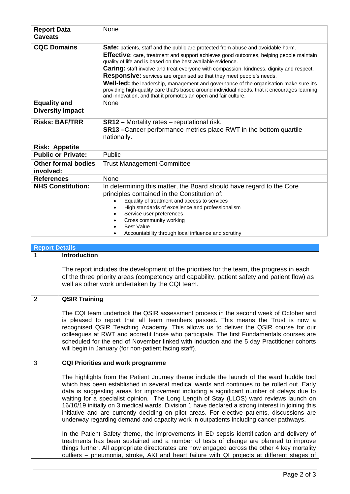| <b>Report Data</b><br><b>Caveats</b>           | <b>None</b>                                                                                                                                                                                                                                                                                                                                                                                                                                                                                                                                                                                                                                                                                              |  |  |  |
|------------------------------------------------|----------------------------------------------------------------------------------------------------------------------------------------------------------------------------------------------------------------------------------------------------------------------------------------------------------------------------------------------------------------------------------------------------------------------------------------------------------------------------------------------------------------------------------------------------------------------------------------------------------------------------------------------------------------------------------------------------------|--|--|--|
| <b>CQC Domains</b>                             | <b>Safe:</b> patients, staff and the public are protected from abuse and avoidable harm.<br>Effective: care, treatment and support achieves good outcomes, helping people maintain<br>quality of life and is based on the best available evidence.<br><b>Caring:</b> staff involve and treat everyone with compassion, kindness, dignity and respect.<br><b>Responsive:</b> services are organised so that they meet people's needs.<br><b>Well-led:</b> the leadership, management and governance of the organisation make sure it's<br>providing high-quality care that's based around individual needs, that it encourages learning<br>and innovation, and that it promotes an open and fair culture. |  |  |  |
| <b>Equality and</b><br><b>Diversity Impact</b> | <b>None</b>                                                                                                                                                                                                                                                                                                                                                                                                                                                                                                                                                                                                                                                                                              |  |  |  |
| <b>Risks: BAF/TRR</b>                          | <b>SR12</b> – Mortality rates – reputational risk.<br><b>SR13</b> - Cancer performance metrics place RWT in the bottom quartile<br>nationally.                                                                                                                                                                                                                                                                                                                                                                                                                                                                                                                                                           |  |  |  |
| <b>Risk: Appetite</b>                          |                                                                                                                                                                                                                                                                                                                                                                                                                                                                                                                                                                                                                                                                                                          |  |  |  |
| <b>Public or Private:</b>                      | Public                                                                                                                                                                                                                                                                                                                                                                                                                                                                                                                                                                                                                                                                                                   |  |  |  |
| <b>Other formal bodies</b><br>involved:        | <b>Trust Management Committee</b>                                                                                                                                                                                                                                                                                                                                                                                                                                                                                                                                                                                                                                                                        |  |  |  |
| <b>References</b>                              | None                                                                                                                                                                                                                                                                                                                                                                                                                                                                                                                                                                                                                                                                                                     |  |  |  |
| <b>NHS Constitution:</b>                       | In determining this matter, the Board should have regard to the Core<br>principles contained in the Constitution of:<br>Equality of treatment and access to services<br>High standards of excellence and professionalism<br>Service user preferences<br>$\bullet$<br>Cross community working<br>$\bullet$<br><b>Best Value</b><br>Accountability through local influence and scrutiny                                                                                                                                                                                                                                                                                                                    |  |  |  |

| <b>Report Details</b> |                                                                                                                                                                                                                                                                                                                                                                                                                                                                                                                                                                                                                                                                            |
|-----------------------|----------------------------------------------------------------------------------------------------------------------------------------------------------------------------------------------------------------------------------------------------------------------------------------------------------------------------------------------------------------------------------------------------------------------------------------------------------------------------------------------------------------------------------------------------------------------------------------------------------------------------------------------------------------------------|
| 1                     | <b>Introduction</b>                                                                                                                                                                                                                                                                                                                                                                                                                                                                                                                                                                                                                                                        |
|                       | The report includes the development of the priorities for the team, the progress in each<br>of the three priority areas (competency and capability, patient safety and patient flow) as<br>well as other work undertaken by the CQI team.                                                                                                                                                                                                                                                                                                                                                                                                                                  |
| $\overline{2}$        | <b>QSIR Training</b>                                                                                                                                                                                                                                                                                                                                                                                                                                                                                                                                                                                                                                                       |
|                       | The CQI team undertook the QSIR assessment process in the second week of October and<br>is pleased to report that all team members passed. This means the Trust is now a<br>recognised QSIR Teaching Academy. This allows us to deliver the QSIR course for our<br>colleagues at RWT and accredit those who participate. The first Fundamentals courses are<br>scheduled for the end of November linked with induction and the 5 day Practitioner cohorts<br>will begin in January (for non-patient facing staff).                                                                                                                                                         |
| 3                     | <b>CQI Priorities and work programme</b>                                                                                                                                                                                                                                                                                                                                                                                                                                                                                                                                                                                                                                   |
|                       | The highlights from the Patient Journey theme include the launch of the ward huddle tool<br>which has been established in several medical wards and continues to be rolled out. Early<br>data is suggesting areas for improvement including a significant number of delays due to<br>waiting for a specialist opinion. The Long Length of Stay (LLOS) ward reviews launch on<br>16/10/19 initially on 3 medical wards. Division 1 have declared a strong interest in joining this<br>initiative and are currently deciding on pilot areas. For elective patients, discussions are<br>underway regarding demand and capacity work in outpatients including cancer pathways. |
|                       | In the Patient Safety theme, the improvements in ED sepsis identification and delivery of<br>treatments has been sustained and a number of tests of change are planned to improve<br>things further. All appropriate directorates are now engaged across the other 4 key mortality<br>outliers – pneumonia, stroke, AKI and heart failure with QI projects at different stages of                                                                                                                                                                                                                                                                                          |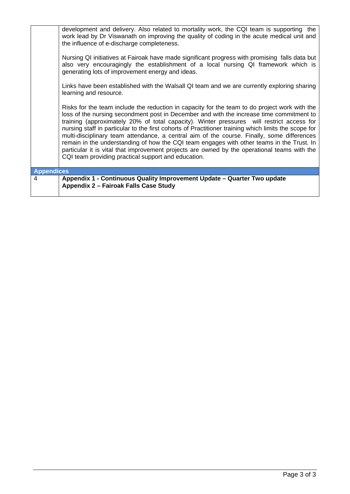|                   | development and delivery. Also related to mortality work, the CQI team is supporting the<br>work lead by Dr Viswanath on improving the quality of coding in the acute medical unit and<br>the influence of e-discharge completeness.<br>Nursing QI initiatives at Fairoak have made significant progress with promising falls data but<br>also very encouragingly the establishment of a local nursing QI framework which is<br>generating lots of improvement energy and ideas.<br>Links have been established with the Walsall QI team and we are currently exploring sharing<br>learning and resource.<br>Risks for the team include the reduction in capacity for the team to do project work with the<br>loss of the nursing secondment post in December and with the increase time commitment to<br>training (approximately 20% of total capacity). Winter pressures will restrict access for<br>nursing staff in particular to the first cohorts of Practitioner training which limits the scope for<br>multi-disciplinary team attendance, a central aim of the course. Finally, some differences |
|-------------------|-----------------------------------------------------------------------------------------------------------------------------------------------------------------------------------------------------------------------------------------------------------------------------------------------------------------------------------------------------------------------------------------------------------------------------------------------------------------------------------------------------------------------------------------------------------------------------------------------------------------------------------------------------------------------------------------------------------------------------------------------------------------------------------------------------------------------------------------------------------------------------------------------------------------------------------------------------------------------------------------------------------------------------------------------------------------------------------------------------------|
|                   | remain in the understanding of how the CQI team engages with other teams in the Trust. In<br>particular it is vital that improvement projects are owned by the operational teams with the<br>CQI team providing practical support and education.                                                                                                                                                                                                                                                                                                                                                                                                                                                                                                                                                                                                                                                                                                                                                                                                                                                          |
| <b>Appendices</b> |                                                                                                                                                                                                                                                                                                                                                                                                                                                                                                                                                                                                                                                                                                                                                                                                                                                                                                                                                                                                                                                                                                           |
| 4                 | Appendix 1 - Continuous Quality Improvement Update - Quarter Two update<br>Appendix 2 - Fairoak Falls Case Study                                                                                                                                                                                                                                                                                                                                                                                                                                                                                                                                                                                                                                                                                                                                                                                                                                                                                                                                                                                          |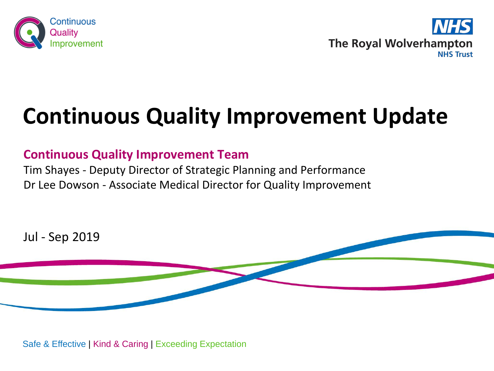



## **Continuous Quality Improvement Update**

#### **Continuous Quality Improvement Team**

Tim Shayes - Deputy Director of Strategic Planning and Performance Dr Lee Dowson - Associate Medical Director for Quality Improvement



Safe & Effective | Kind & Caring | Exceeding Expectation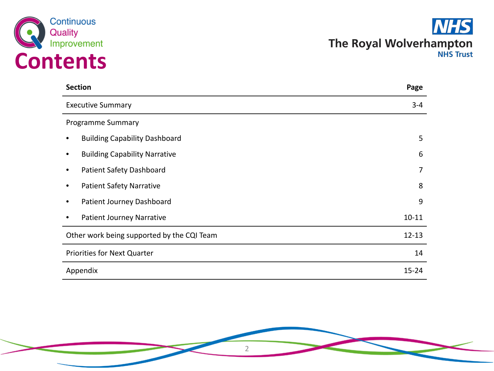



| <b>Section</b>                             | Page      |
|--------------------------------------------|-----------|
| <b>Executive Summary</b>                   |           |
| Programme Summary                          |           |
| <b>Building Capability Dashboard</b>       | 5         |
| <b>Building Capability Narrative</b>       | 6         |
| Patient Safety Dashboard                   | 7         |
| <b>Patient Safety Narrative</b>            | 8         |
| Patient Journey Dashboard                  | 9         |
| <b>Patient Journey Narrative</b>           | $10 - 11$ |
| Other work being supported by the CQI Team | $12 - 13$ |
| Priorities for Next Quarter                |           |
| Appendix                                   |           |

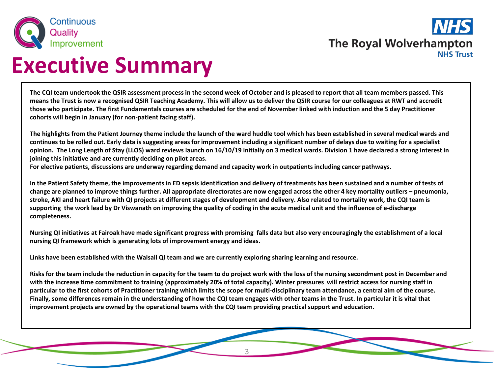

### **Executive Summary**

**The CQI team undertook the QSIR assessment process in the second week of October and is pleased to report that all team members passed. This means the Trust is now a recognised QSIR Teaching Academy. This will allow us to deliver the QSIR course for our colleagues at RWT and accredit those who participate. The first Fundamentals courses are scheduled for the end of November linked with induction and the 5 day Practitioner cohorts will begin in January (for non-patient facing staff).**

**The highlights from the Patient Journey theme include the launch of the ward huddle tool which has been established in several medical wards and continues to be rolled out. Early data is suggesting areas for improvement including a significant number of delays due to waiting for a specialist opinion. The Long Length of Stay (LLOS) ward reviews launch on 16/10/19 initially on 3 medical wards. Division 1 have declared a strong interest in joining this initiative and are currently deciding on pilot areas.**

**For elective patients, discussions are underway regarding demand and capacity work in outpatients including cancer pathways.**

**In the Patient Safety theme, the improvements in ED sepsis identification and delivery of treatments has been sustained and a number of tests of change are planned to improve things further. All appropriate directorates are now engaged across the other 4 key mortality outliers – pneumonia, stroke, AKI and heart failure with QI projects at different stages of development and delivery. Also related to mortality work, the CQI team is supporting the work lead by Dr Viswanath on improving the quality of coding in the acute medical unit and the influence of e-discharge completeness.** 

**Nursing QI initiatives at Fairoak have made significant progress with promising falls data but also very encouragingly the establishment of a local nursing QI framework which is generating lots of improvement energy and ideas.**

**Links have been established with the Walsall QI team and we are currently exploring sharing learning and resource.** 

**Risks for the team include the reduction in capacity for the team to do project work with the loss of the nursing secondment post in December and with the increase time commitment to training (approximately 20% of total capacity). Winter pressures will restrict access for nursing staff in particular to the first cohorts of Practitioner training which limits the scope for multi-disciplinary team attendance, a central aim of the course. Finally, some differences remain in the understanding of how the CQI team engages with other teams in the Trust. In particular it is vital that improvement projects are owned by the operational teams with the CQI team providing practical support and education.**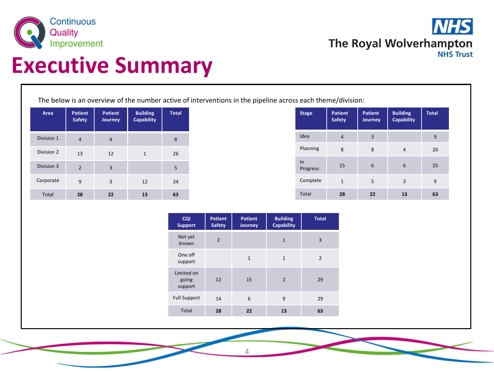

**NHS** The Royal Wolverhampton **NHS Trust** 

## **Executive Summary**

The below is an overview of the number active of interventions in the pipeline across each theme/division:

| Area         | <b>Patient</b><br>Safety | <b>Patient</b><br>Journey | <b>Building</b><br><b>Capability</b> | <b>Total</b> |
|--------------|--------------------------|---------------------------|--------------------------------------|--------------|
| Division 1   | $\overline{4}$           | 4                         |                                      | 8            |
| Division 2   | 13                       | 12                        | 1                                    | 26           |
| Division 3   | $\overline{2}$           | 3                         |                                      | 5            |
| Corporate    | 9                        | 3                         | 12                                   | 24           |
| <b>Total</b> | 28                       | 22                        | 13                                   | 63           |

| <b>Stage</b>   | Patient<br><b>Safety</b> | <b>Patient</b><br><b>Journey</b> | <b>Building</b><br><b>Capability</b> | <b>Total</b> |
|----------------|--------------------------|----------------------------------|--------------------------------------|--------------|
| Idea           | 4                        | 3                                |                                      | 9            |
| Planning       | 8                        | 8                                | $\overline{4}$                       | 20           |
| ln<br>Progress | 15                       | 6                                | 6                                    | 25           |
| Complete       | $\mathbf{1}$             | 5                                | 3                                    | 9            |
| <b>Total</b>   | 28                       | 22                               | 13                                   | 63           |

| <b>CQI</b><br><b>Support</b>   | <b>Patient</b><br><b>Safety</b> | <b>Patient</b><br>Journey | <b>Building</b><br><b>Capability</b> | <b>Total</b>   |
|--------------------------------|---------------------------------|---------------------------|--------------------------------------|----------------|
| Not yet<br>known               | $\overline{2}$                  |                           | $\mathbf{1}$                         | 3              |
| One off<br>support             |                                 | $\mathbf{1}$              | $\mathbf{1}$                         | $\overline{2}$ |
| Limited on<br>going<br>support | 12                              | 15                        | $\overline{2}$                       | 29             |
| <b>Full Support</b>            | 14                              | 6                         | 9                                    | 29             |
| <b>Total</b>                   | 28                              | 22                        | 13                                   | 63             |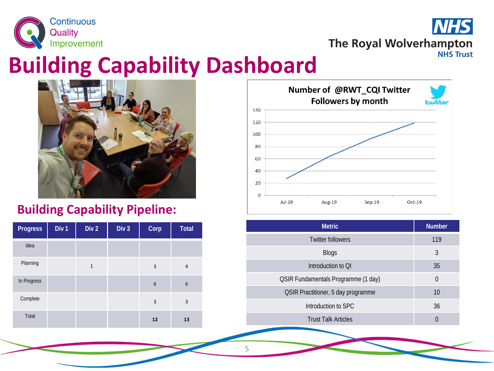



### **Building Capability Dashboard**



#### **Building Capability Pipeline:**

| <b>Progress</b> | Div <sub>1</sub> | Div <sub>2</sub> | Div <sub>3</sub> | Corp           | <b>Total</b>   |
|-----------------|------------------|------------------|------------------|----------------|----------------|
| Idea            |                  |                  |                  |                |                |
| Planning        |                  | $\mathbf{1}$     |                  | $\overline{3}$ | $\overline{4}$ |
| In Progress     |                  |                  |                  | 6              | 6              |
| Complete        |                  |                  |                  | $\overline{3}$ | 3              |
| Total           |                  |                  |                  | 12             | 13             |



| <b>Metric</b>                              | <b>Number</b> |
|--------------------------------------------|---------------|
| <b>Twitter followers</b>                   | 119           |
| <b>Blogs</b>                               | 3             |
| Introduction to OI                         | 35            |
| <b>QSIR Fundamentals Programme (1 day)</b> | 0             |
| <b>QSIR Practitioner, 5 day programme</b>  | 10            |
| Introduction to SPC                        | 36            |
| <b>Trust Talk Articles</b>                 |               |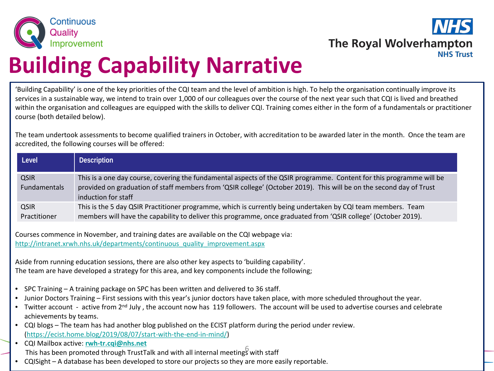



## **Building Capability Narrative**

'Building Capability' is one of the key priorities of the CQI team and the level of ambition is high. To help the organisation continually improve its services in a sustainable way, we intend to train over 1,000 of our colleagues over the course of the next year such that CQI is lived and breathed within the organisation and colleagues are equipped with the skills to deliver CQI. Training comes either in the form of a fundamentals or practitioner course (both detailed below).

The team undertook assessments to become qualified trainers in October, with accreditation to be awarded later in the month. Once the team are accredited, the following courses will be offered:

| Level                              | <b>Description</b>                                                                                                                                                                                                                                                 |
|------------------------------------|--------------------------------------------------------------------------------------------------------------------------------------------------------------------------------------------------------------------------------------------------------------------|
| <b>QSIR</b><br><b>Fundamentals</b> | This is a one day course, covering the fundamental aspects of the QSIR programme. Content for this programme will be<br>provided on graduation of staff members from 'QSIR college' (October 2019). This will be on the second day of Trust<br>induction for staff |
| <b>QSIR</b><br>Practitioner        | This is the 5 day QSIR Practitioner programme, which is currently being undertaken by CQI team members. Team<br>members will have the capability to deliver this programme, once graduated from 'QSIR college' (October 2019).                                     |

Courses commence in November, and training dates are available on the CQI webpage via: [http://intranet.xrwh.nhs.uk/departments/continuous\\_quality\\_improvement.aspx](http://intranet.xrwh.nhs.uk/departments/continuous_quality_improvement.aspx)

Aside from running education sessions, there are also other key aspects to 'building capability'. The team are have developed a strategy for this area, and key components include the following;

- SPC Training A training package on SPC has been written and delivered to 36 staff.
- Junior Doctors Training First sessions with this year's junior doctors have taken place, with more scheduled throughout the year.
- Twitter account active from 2<sup>nd</sup> July, the account now has 119 followers. The account will be used to advertise courses and celebrate achievements by teams.
- CQI blogs The team has had another blog published on the ECIST platform during the period under review. ([https://ecist.home.blog/2019/08/07/start-with-the-end-in-mind/\)](https://ecist.home.blog/2019/08/07/start-with-the-end-in-mind/)
- CQI Mailbox active: **[rwh-tr.cqi@nhs.net](mailto:rwh-tr.cqi@nhs.net)** Eq. Mallook detive: **EVILL STAG COMPTED TRAFFILM**<br>This has been promoted through TrustTalk and with all internal meetings with staff
- CQISight A database has been developed to store our projects so they are more easily reportable.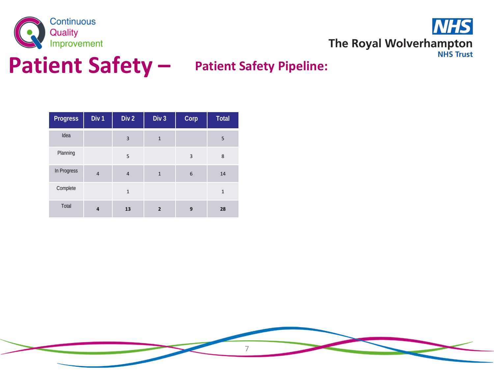



### **Patient Safety –**

#### **Patient Safety Pipeline:**

| <b>Progress</b> | Div <sub>1</sub> | Div <sub>2</sub> | Div <sub>3</sub> | Corp | <b>Total</b> |
|-----------------|------------------|------------------|------------------|------|--------------|
| Idea            |                  | 3                | $\mathbf{1}$     |      | 5            |
| Planning        |                  | 5                |                  | 3    | 8            |
| In Progress     | $\overline{4}$   | $\overline{4}$   | $\mathbf{1}$     | 6    | 14           |
| Complete        |                  | $\mathbf{1}$     |                  |      | $\mathbf{1}$ |
| Total           | $\overline{a}$   | 13               | $\mathbf{2}$     | 9    | 28           |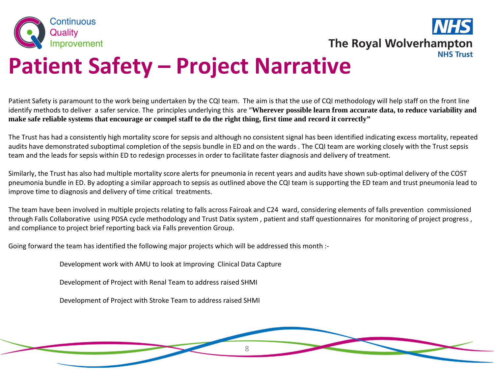



## **Patient Safety – Project Narrative**

Patient Safety is paramount to the work being undertaken by the CQI team. The aim is that the use of CQI methodology will help staff on the front line identify methods to deliver a safer service. The principles underlying this are "**Wherever possible learn from accurate data, to reduce variability and make safe reliable systems that encourage or compel staff to do the right thing, first time and record it correctly"**

The Trust has had a consistently high mortality score for sepsis and although no consistent signal has been identified indicating excess mortality, repeated audits have demonstrated suboptimal completion of the sepsis bundle in ED and on the wards . The CQI team are working closely with the Trust sepsis team and the leads for sepsis within ED to redesign processes in order to facilitate faster diagnosis and delivery of treatment.

Similarly, the Trust has also had multiple mortality score alerts for pneumonia in recent years and audits have shown sub-optimal delivery of the COST pneumonia bundle in ED. By adopting a similar approach to sepsis as outlined above the CQI team is supporting the ED team and trust pneumonia lead to improve time to diagnosis and delivery of time critical treatments.

The team have been involved in multiple projects relating to falls across Fairoak and C24 ward, considering elements of falls prevention commissioned through Falls Collaborative using PDSA cycle methodology and Trust Datix system , patient and staff questionnaires for monitoring of project progress , and compliance to project brief reporting back via Falls prevention Group.

8

Going forward the team has identified the following major projects which will be addressed this month :-

Development work with AMU to look at Improving Clinical Data Capture

Development of Project with Renal Team to address raised SHMI

Development of Project with Stroke Team to address raised SHMI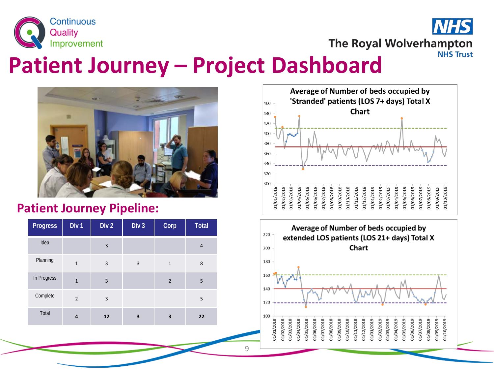

The Royal Wolverhampton **NHS Trust** 

#### **Patient Journey – Project Dashboard**



#### **Patient Journey Pipeline:**

| <b>Progress</b> | Div 1          | Div <sub>2</sub> | Div <sub>3</sub> | Corp           | <b>Total</b> |
|-----------------|----------------|------------------|------------------|----------------|--------------|
| Idea            |                | $\overline{3}$   |                  |                | 4            |
| Planning        | $\mathbf{1}$   | $\overline{3}$   | 3                | $\mathbf{1}$   | 8            |
| In Progress     | $\mathbf{1}$   | 3                |                  | $\overline{2}$ | 5            |
| Complete        | $\overline{2}$ | $\overline{3}$   |                  |                | 5            |
| Total           | 4              | 12               | 3                | 3              | 22           |



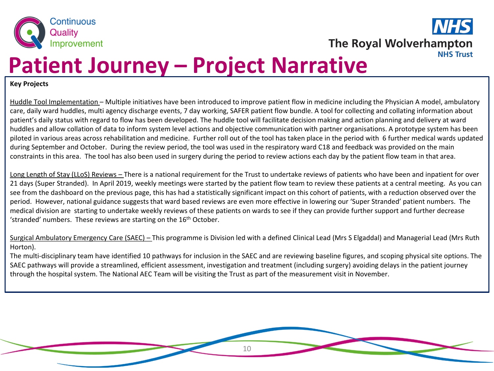

**The Royal Wolverhampton NHS Trust** 

### **Patient Journey – Project Narrative**

#### **Key Projects**

Huddle Tool Implementation – Multiple initiatives have been introduced to improve patient flow in medicine including the Physician A model, ambulatory care, daily ward huddles, multi agency discharge events, 7 day working, SAFER patient flow bundle. A tool for collecting and collating information about patient's daily status with regard to flow has been developed. The huddle tool will facilitate decision making and action planning and delivery at ward huddles and allow collation of data to inform system level actions and objective communication with partner organisations. A prototype system has been piloted in various areas across rehabilitation and medicine. Further roll out of the tool has taken place in the period with 6 further medical wards updated during September and October. During the review period, the tool was used in the respiratory ward C18 and feedback was provided on the main constraints in this area. The tool has also been used in surgery during the period to review actions each day by the patient flow team in that area.

Long Length of Stay (LLoS) Reviews – There is a national requirement for the Trust to undertake reviews of patients who have been and inpatient for over 21 days (Super Stranded). In April 2019, weekly meetings were started by the patient flow team to review these patients at a central meeting. As you can see from the dashboard on the previous page, this has had a statistically significant impact on this cohort of patients, with a reduction observed over the period. However, national guidance suggests that ward based reviews are even more effective in lowering our 'Super Stranded' patient numbers. The medical division are starting to undertake weekly reviews of these patients on wards to see if they can provide further support and further decrease 'stranded' numbers. These reviews are starting on the  $16<sup>th</sup>$  October.

The multi-disciplinary team have identified 10 pathways for inclusion in the SAEC and are reviewing baseline figures, and scoping physical site options. The SAEC pathways will provide a streamlined, efficient assessment, investigation and treatment (including surgery) avoiding delays in the patient journey through the hospital system. The National AEC Team will be visiting the Trust as part of the measurement visit in November.

Surgical Ambulatory Emergency Care (SAEC) – This programme is Division led with a defined Clinical Lead (Mrs S Elgaddal) and Managerial Lead (Mrs Ruth Horton).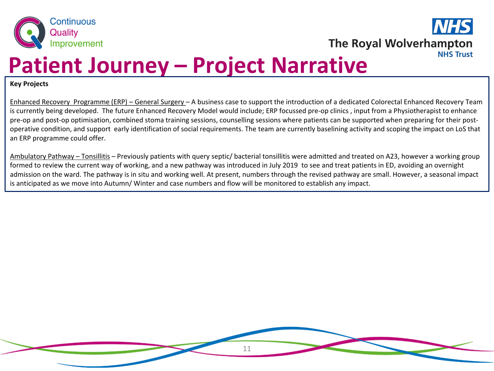



### **Patient Journey – Project Narrative**

**Key Projects**

Enhanced Recovery Programme (ERP) – General Surgery – A business case to support the introduction of a dedicated Colorectal Enhanced Recovery Team is currently being developed. The future Enhanced Recovery Model would include; ERP focussed pre-op clinics , input from a Physiotherapist to enhance pre-op and post-op optimisation, combined stoma training sessions, counselling sessions where patients can be supported when preparing for their postoperative condition, and support early identification of social requirements. The team are currently baselining activity and scoping the impact on LoS that an ERP programme could offer.

Ambulatory Pathway – Tonsillitis *–* Previously patients with query septic/ bacterial tonsillitis were admitted and treated on A23, however a working group formed to review the current way of working, and a new pathway was introduced in July 2019 to see and treat patients in ED, avoiding an overnight admission on the ward. The pathway is in situ and working well. At present, numbers through the revised pathway are small. However, a seasonal impact is anticipated as we move into Autumn/ Winter and case numbers and flow will be monitored to establish any impact.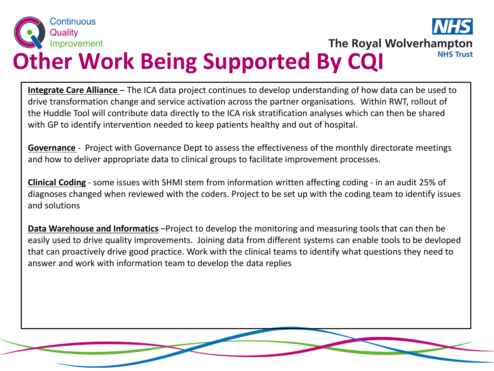

**The Royal Wolverhampton NHS Trust** 

# **Other Work Being Supported By CQI**

**Integrate Care Alliance** – The ICA data project continues to develop understanding of how data can be used to drive transformation change and service activation across the partner organisations. Within RWT, rollout of the Huddle Tool will contribute data directly to the ICA risk stratification analyses which can then be shared with GP to identify intervention needed to keep patients healthy and out of hospital.

**Governance** - Project with Governance Dept to assess the effectiveness of the monthly directorate meetings and how to deliver appropriate data to clinical groups to facilitate improvement processes.

**Clinical Coding** - some issues with SHMI stem from information written affecting coding - in an audit 25% of diagnoses changed when reviewed with the coders. Project to be set up with the coding team to identify issues and solutions

**Data Warehouse and Informatics** –Project to develop the monitoring and measuring tools that can then be easily used to drive quality improvements. Joining data from different systems can enable tools to be devloped that can proactively drive good practice. Work with the clinical teams to identify what questions they need to answer and work with information team to develop the data replies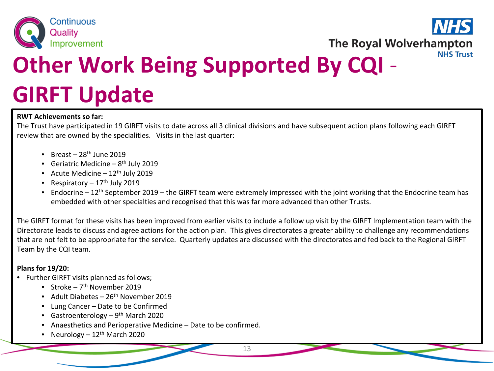



# **Other Work Being Supported By CQI** - **GIRFT Update**

#### **RWT Achievements so far:**

The Trust have participated in 19 GIRFT visits to date across all 3 clinical divisions and have subsequent action plans following each GIRFT review that are owned by the specialities. Visits in the last quarter:

- Breast  $28<sup>th</sup>$  June 2019
- Geriatric Medicine  $8<sup>th</sup>$  July 2019
- Acute Medicine  $-12$ <sup>th</sup> July 2019
- Respiratory  $-17<sup>th</sup>$  July 2019
- Endocrine  $12<sup>th</sup>$  September 2019 the GIRFT team were extremely impressed with the joint working that the Endocrine team has embedded with other specialties and recognised that this was far more advanced than other Trusts.

The GIRFT format for these visits has been improved from earlier visits to include a follow up visit by the GIRFT Implementation team with the Directorate leads to discuss and agree actions for the action plan. This gives directorates a greater ability to challenge any recommendations that are not felt to be appropriate for the service. Quarterly updates are discussed with the directorates and fed back to the Regional GIRFT Team by the CQI team.

#### **Plans for 19/20:**

- Further GIRFT visits planned as follows;
	- Stroke  $7<sup>th</sup>$  November 2019
	- Adult Diabetes  $26<sup>th</sup>$  November 2019
	- Lung Cancer Date to be Confirmed
	- Gastroenterology  $9<sup>th</sup>$  March 2020
	- Anaesthetics and Perioperative Medicine Date to be confirmed.
	- Neurology  $12<sup>th</sup>$  March 2020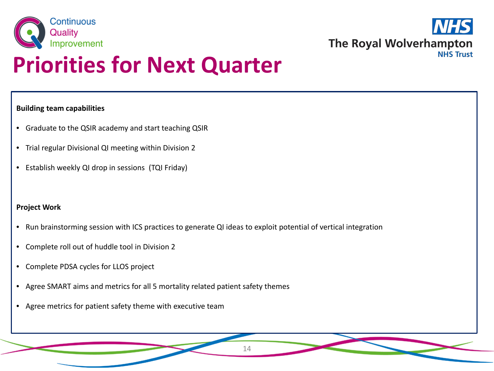



## **Priorities for Next Quarter**

#### **Building team capabilities**

- Graduate to the QSIR academy and start teaching QSIR
- Trial regular Divisional QI meeting within Division 2
- Establish weekly QI drop in sessions (TQI Friday)

#### **Project Work**

- Run brainstorming session with ICS practices to generate QI ideas to exploit potential of vertical integration
- Complete roll out of huddle tool in Division 2
- Complete PDSA cycles for LLOS project
- Agree SMART aims and metrics for all 5 mortality related patient safety themes
- Agree metrics for patient safety theme with executive team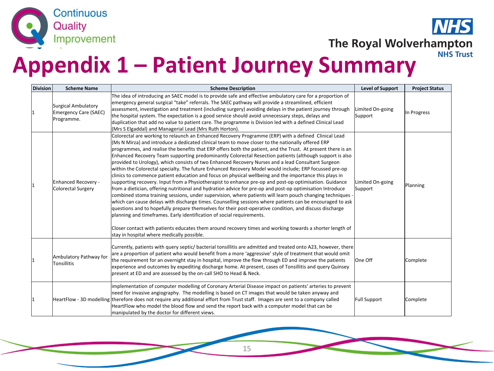

**VHS** The Royal Wolverhampton **NHS Trust** 

### **Appendix 1 – Patient Journey Summary**

| <b>Division</b> | <b>Scheme Name</b>                                         | <b>Scheme Description</b>                                                                                                                                                                                                                                                                                                                                                                                                                                                                                                                                                                                                                                                                                                                                                                                                                                                                                                                                                                                                                                                                                                                                                                                                                                                                                                                                                                                                                                                                                                                                      | <b>Level of Support</b>     | <b>Project Status</b> |
|-----------------|------------------------------------------------------------|----------------------------------------------------------------------------------------------------------------------------------------------------------------------------------------------------------------------------------------------------------------------------------------------------------------------------------------------------------------------------------------------------------------------------------------------------------------------------------------------------------------------------------------------------------------------------------------------------------------------------------------------------------------------------------------------------------------------------------------------------------------------------------------------------------------------------------------------------------------------------------------------------------------------------------------------------------------------------------------------------------------------------------------------------------------------------------------------------------------------------------------------------------------------------------------------------------------------------------------------------------------------------------------------------------------------------------------------------------------------------------------------------------------------------------------------------------------------------------------------------------------------------------------------------------------|-----------------------------|-----------------------|
| 11              | Surgical Ambulatory<br>Emergency Care (SAEC)<br>Programme. | The idea of introducing an SAEC model is to provide safe and effective ambulatory care for a proportion of<br>emergency general surgical "take" referrals. The SAEC pathway will provide a streamlined, efficient<br>assessment, investigation and treatment (including surgery) avoiding delays in the patient journey through<br>the hospital system. The expectation is a good service should avoid unnecessary steps, delays and<br>duplication that add no value to patient care. The programme is Division led with a defined Clinical Lead<br>(Mrs S Elgaddal) and Managerial Lead (Mrs Ruth Horton).                                                                                                                                                                                                                                                                                                                                                                                                                                                                                                                                                                                                                                                                                                                                                                                                                                                                                                                                                   | Limited On-going<br>Support | In Progress           |
| 11              | Enhanced Recovery -<br>Colorectal Surgery                  | Colorectal are working to relaunch an Enhanced Recovery Programme (ERP) with a defined Clinical Lead<br>(Ms N Mirza) and introduce a dedicated clinical team to move closer to the nationally offered ERP<br>programmes, and realise the benefits that ERP offers both the patient, and the Trust. At present there is an<br>Enhanced Recovery Team supporting predominantly Colorectal Resection patients (although support is also<br>provided to Urology), which consists of two Enhanced Recovery Nurses and a lead Consultant Surgeon<br>within the Colorectal specialty. The future Enhanced Recovery Model would include; ERP focussed pre-op<br>clinics to commence patient education and focus on physical wellbeing and the importance this plays in<br>supporting recovery. Input from a Physiotherapist to enhance pre-op and post-op optimisation. Guidance<br>from a dietician, offering nutritional and hydration advice for pre-op and post-op optimisation Introduce<br>combined stoma training sessions, under supervision, where patients will learn pouch changing techniques -<br>which can cause delays with discharge times. Counselling sessions where patients can be encouraged to ask<br>questions and to hopefully prepare themselves for their post-operative condition, and discuss discharge<br>planning and timeframes. Early identification of social requirements.<br>Closer contact with patients educates them around recovery times and working towards a shorter length of<br>stay in hospital where medically possible. | Limited On-going<br>Support | Planning              |
| 11              | Ambulatory Pathway for<br><b>Tonsillitis</b>               | Currently, patients with query septic/ bacterial tonsillitis are admitted and treated onto A23, however, there<br>are a proportion of patient who would benefit from a more 'aggressive' style of treatment that would omit<br>the requirement for an overnight stay in hospital, improve the flow through ED and improve the patients<br>experience and outcomes by expediting discharge home. At present, cases of Tonsillitis and query Quinsey<br>present at ED and are assessed by the on-call SHO to Head & Neck.                                                                                                                                                                                                                                                                                                                                                                                                                                                                                                                                                                                                                                                                                                                                                                                                                                                                                                                                                                                                                                        | One Off                     | Complete              |
| 11              |                                                            | implementation of computer modelling of Coronary Arterial Disease impact on patients' arteries to prevent<br>need for invasive angiography. The modelling is based on CT images that would be taken anyway and<br>HeartFlow - 3D modelling therefore does not require any additional effort from Trust staff. Images are sent to a company called<br>HeartFlow who model the blood flow and send the report back with a computer model that can be<br>manipulated by the doctor for different views.                                                                                                                                                                                                                                                                                                                                                                                                                                                                                                                                                                                                                                                                                                                                                                                                                                                                                                                                                                                                                                                           | <b>Full Support</b>         | Complete              |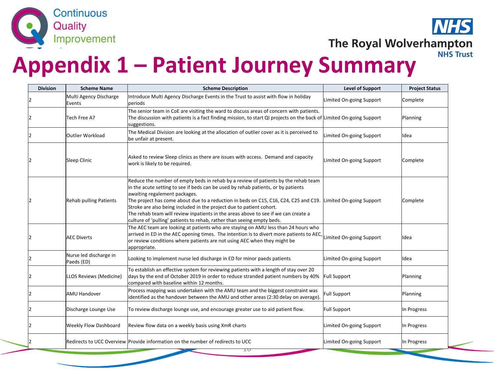

**VHS** The Royal Wolverhampton **NHS Trust** 

### **Appendix 1 – Patient Journey Summary**

| <b>Division</b> | <b>Scheme Name</b>                   | <b>Scheme Description</b>                                                                                                                                                                                                                                                                                                                                                                                                                                                                                                                | <b>Level of Support</b>  | <b>Project Status</b> |
|-----------------|--------------------------------------|------------------------------------------------------------------------------------------------------------------------------------------------------------------------------------------------------------------------------------------------------------------------------------------------------------------------------------------------------------------------------------------------------------------------------------------------------------------------------------------------------------------------------------------|--------------------------|-----------------------|
|                 | Multi Agency Discharge<br>Events     | Introduce Multi Agency Discharge Events in the Trust to assist with flow in holiday<br>periods                                                                                                                                                                                                                                                                                                                                                                                                                                           | Limited On-going Support | Complete              |
|                 | Tech Free A7                         | The senior team in CoE are visiting the ward to discuss areas of concern with patients.<br>The discussion with patients is a fact finding mission, to start QI projects on the back of Limited On-going Support<br>suggestions.                                                                                                                                                                                                                                                                                                          |                          | Planning              |
|                 | Outlier Workload                     | The Medical Division are looking at the allocation of outlier cover as it is perceived to<br>be unfair at present.                                                                                                                                                                                                                                                                                                                                                                                                                       | Limited On-going Support | Idea                  |
|                 | Sleep Clinic                         | Asked to review Sleep clinics as there are issues with access. Demand and capacity<br>work is likely to be required.                                                                                                                                                                                                                                                                                                                                                                                                                     | Limited On-going Support | Complete              |
|                 | <b>Rehab pulling Patients</b>        | Reduce the number of empty beds in rehab by a review of patients by the rehab team<br>in the acute setting to see if beds can be used by rehab patients, or by patients<br>awaiting regalement packages.<br>The project has come about due to a reduction in beds on C15, C16, C24, C25 and C19.<br>Stroke are also being included in the project due to patient cohort.<br>The rehab team will review inpatients in the areas above to see if we can create a<br>culture of 'pulling' patients to rehab, rather than seeing empty beds. | Limited On-going Support | Complete              |
|                 | <b>AEC Diverts</b>                   | The AEC team are looking at patients who are staying on AMU less than 24 hours who<br>arrived in ED in the AEC opening times. The intention is to divert more patients to AEC,<br>or review conditions where patients are not using AEC when they might be<br>appropriate.                                                                                                                                                                                                                                                               | Limited On-going Support | Idea                  |
|                 | Nurse led discharge in<br>Paeds (ED) | Looking to implement nurse led discharge in ED for minor paeds patients                                                                                                                                                                                                                                                                                                                                                                                                                                                                  | Limited On-going Support | Ildea                 |
|                 | LLOS Reviews (Medicine)              | To establish an effective system for reviewing patients with a length of stay over 20<br>days by the end of October 2019 in order to reduce stranded patient numbers by 40%<br>compared with baseline within 12 months.                                                                                                                                                                                                                                                                                                                  | <b>Full Support</b>      | Planning              |
|                 | lAMU Handover                        | Process mapping was undertaken with the AMU team and the biggest constraint was<br>identified as the handover between the AMU and other areas (2:30 delay on average).                                                                                                                                                                                                                                                                                                                                                                   | <b>Full Support</b>      | Planning              |
|                 | Discharge Lounge Use                 | To review discharge lounge use, and encourage greater use to aid patient flow.                                                                                                                                                                                                                                                                                                                                                                                                                                                           | Full Support             | In Progress           |
|                 | <b>Weekly Flow Dashboard</b>         | Review flow data on a weekly basis using XmR charts                                                                                                                                                                                                                                                                                                                                                                                                                                                                                      | Limited On-going Support | In Progress           |
|                 |                                      | Redirects to UCC Overview Provide information on the number of redirects to UCC<br>고다                                                                                                                                                                                                                                                                                                                                                                                                                                                    | Limited On-going Support | In Progress           |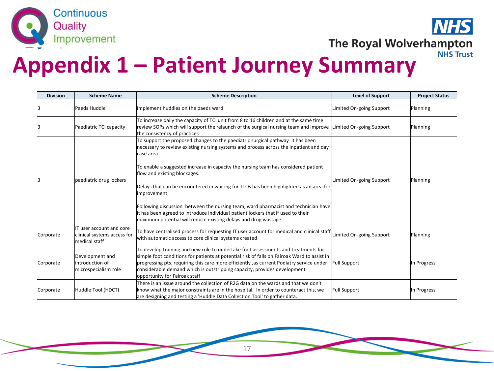



### **Appendix 1 – Patient Journey Summary**

| <b>Division</b> | <b>Scheme Name</b>                                                        | <b>Scheme Description</b>                                                                                                                                                                                                                                                                                                                                                                                                                                                                                                                                                                                                                                        | <b>Level of Support</b>  | <b>Project Status</b> |
|-----------------|---------------------------------------------------------------------------|------------------------------------------------------------------------------------------------------------------------------------------------------------------------------------------------------------------------------------------------------------------------------------------------------------------------------------------------------------------------------------------------------------------------------------------------------------------------------------------------------------------------------------------------------------------------------------------------------------------------------------------------------------------|--------------------------|-----------------------|
|                 | Paeds Huddle                                                              | Implement huddles on the paeds ward.                                                                                                                                                                                                                                                                                                                                                                                                                                                                                                                                                                                                                             | Limited On-going Support | Planning              |
|                 | Paediatric TCI capacity                                                   | To increase daily the capacity of TCI unit from 8 to 16 children and at the same time<br>review SOPs which will support the relaunch of the surgical nursing team and improve<br>the consistency of practices                                                                                                                                                                                                                                                                                                                                                                                                                                                    | Limited On-going Support | Planning              |
| lЗ              | paediatric drug lockers                                                   | To support the proposed changes to the paediatric surgical pathway it has been<br>necessary to review existing nursing systems and process across the inpatient and day<br>lcase area<br>To enable a suggested increase in capacity the nursing team has considered patient<br>flow and existing blockages.<br>Delays that can be encountered in waiting for TTOs has been highlighted as an area for<br>improvement<br>Following discussion between the nursing team, ward pharmacist and technician have<br>it has been agreed to introduce individual patient lockers that if used to their<br>maximum potential will reduce existing delays and drug wastage | Limited On-going Support | Planning              |
| Corporate       | IT user account and core<br>clinical systems access for<br>lmedical staff | To have centralised process for requesting IT user account for medical and clinical staff<br>with automatic access to core clinical systems created                                                                                                                                                                                                                                                                                                                                                                                                                                                                                                              | Limited On-going Support | Planning              |
| Corporate       | Development and<br>lintroduction of<br>microspecialism role               | To develop training and new role to undertake foot assessments and treatments for<br>simple foot conditions for patients at potential risk of falls on Fairoak Ward to assist in<br>progressing pts. requiring this care more efficiently, as current Podiatry service under<br>considerable demand which is outstripping capacity, provides development<br>opportunity for Fairoak staff                                                                                                                                                                                                                                                                        | <b>Full Support</b>      | In Progress           |
| Corporate       | Huddle Tool (HDCT)                                                        | There is an issue around the collection of R2G data on the wards and that we don't<br>know what the major constraints are in the hospital. In order to counteract this, we<br>are designing and testing a 'Huddle Data Collection Tool' to gather data.                                                                                                                                                                                                                                                                                                                                                                                                          | <b>Full Support</b>      | In Progress           |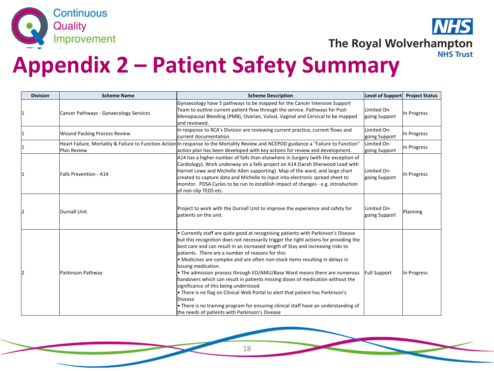



| <b>Division</b> | <b>Scheme Name</b>                     | <b>Scheme Description</b>                                                                                                                                                                                                                                                                                                                                                                                                                                                                                                                                                                                                                                                                                                                                                                                                                                                | Level of Support             | <b>Project Status</b> |
|-----------------|----------------------------------------|--------------------------------------------------------------------------------------------------------------------------------------------------------------------------------------------------------------------------------------------------------------------------------------------------------------------------------------------------------------------------------------------------------------------------------------------------------------------------------------------------------------------------------------------------------------------------------------------------------------------------------------------------------------------------------------------------------------------------------------------------------------------------------------------------------------------------------------------------------------------------|------------------------------|-----------------------|
|                 | Cancer Pathways - Gynaecology Services | Gynaecology have 5 pathways to be mapped for the Cancer Intensive Support<br>Team to outline current patient flow through the service. Pathways for Post-<br>Menopausal Bleeding (PMB), Ovarian, Vulval, Vaginal and Cervical to be mapped<br>land reviewed.                                                                                                                                                                                                                                                                                                                                                                                                                                                                                                                                                                                                             | Limited On-<br>going Support | In Progress           |
|                 | <b>Wound Packing Process Review</b>    | In response to RCA's Division are reviewing current practice, current flows and<br>current documentation.                                                                                                                                                                                                                                                                                                                                                                                                                                                                                                                                                                                                                                                                                                                                                                | Limited On-<br>going Support | In Progress           |
|                 | Plan Review                            | Heart Failure, Mortality & Failure to Function Action In response to the Mortality Review and NCEPOD guidance a "Failure to Function"<br>action plan has been developed with key actions for review and development.                                                                                                                                                                                                                                                                                                                                                                                                                                                                                                                                                                                                                                                     | Limited On-<br>going Support | In Progress           |
|                 | <b>Falls Prevention - A14</b>          | A14 has a higher number of falls than elsewhere in Surgery (with the exception of<br>Cardiology). Work underway on a falls project on A14 (Sarah Sherwood Lead with<br>Harriet Lowe and Michelle Allen supporting). Map of the ward, and large chart<br>created to capture data and Michelle to input into electronic spread sheet to<br>monitor. PDSA Cycles to be run to establish impact of changes - e.g. introduction<br>of non-slip TEDS etc.                                                                                                                                                                                                                                                                                                                                                                                                                      | Limited On-<br>going Support | In Progress           |
|                 | Durnall Unit                           | Project to work with the Durnall Unit to improve the experience and safety for<br>patients on the unit.                                                                                                                                                                                                                                                                                                                                                                                                                                                                                                                                                                                                                                                                                                                                                                  | Limited On-<br>going Support | Planning              |
|                 | Parkinson Pathway                      | • Currently staff are quite good at recognising patients with Parkinson's Disease<br>but this recognition does not necessarily trigger the right actions for providing the<br>best care and can result in an increased length of Stay and increasing risks to<br>patients. There are a number of reasons for this:<br>• Medicines are complex and are often non-stock items resulting in delays in<br>issuing medication.<br>• The admission process through ED/AMU/Base Ward means there are numerous<br>handovers which can result in patients missing doses of medication without the<br>significance of this being understood<br>. There is no flag on Clinical Web Portal to alert that patient has Parkinson's<br>Disease<br>• There is no training program for ensuring clinical staff have an understanding of<br>the needs of patients with Parkinson's Disease | Full Support                 | In Progress           |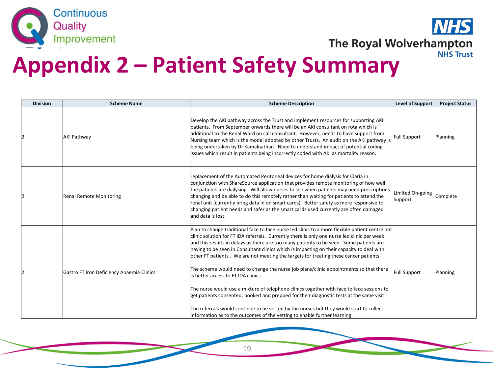



| <b>Division</b> | <b>Scheme Name</b>                        | <b>Scheme Description</b>                                                                                                                                                                                                                                                                                                                                                                                                                                                                                                                                                                                                                                                                                                                                                                                                                                                                                                                                                       | <b>Level of Support</b>     | <b>Project Status</b> |
|-----------------|-------------------------------------------|---------------------------------------------------------------------------------------------------------------------------------------------------------------------------------------------------------------------------------------------------------------------------------------------------------------------------------------------------------------------------------------------------------------------------------------------------------------------------------------------------------------------------------------------------------------------------------------------------------------------------------------------------------------------------------------------------------------------------------------------------------------------------------------------------------------------------------------------------------------------------------------------------------------------------------------------------------------------------------|-----------------------------|-----------------------|
|                 | <b>AKI Pathway</b>                        | Develop the AKI pathway across the Trust and implement resources for supporting AKI<br>patients. From September onwards there will be an AKI consultant on rota which is<br>additional to the Renal Ward on call consultant. However, needs to have support from<br>Nursing team which is the model adopted by other Trusts. An audit on the AKI pathway is<br>being undertaken by Dr Kamalnathan. Need to understand impact of potential coding<br>issues which result in patients being incorrectly coded with AKI as mortality reason.                                                                                                                                                                                                                                                                                                                                                                                                                                       | Full Support                | Planning              |
|                 | <b>Renal Remote Monitoring</b>            | replacement of the Automated Peritoneal devices for home dialysis for Claria in<br>conjunction with ShareSource application that provides remote monitoring of how well<br>the patients are dialysing. Will allow nurses to see when patients may need prescriptions<br>changing and be able to do this remotely rather than waiting for patients to attend the<br>renal unit (currently bring data in on smart cards). Better safety as more responsive to<br>changing patient needs and safer as the smart cards used currently are often damaged<br>and data is lost.                                                                                                                                                                                                                                                                                                                                                                                                        | Limited On-going<br>Support | Complete              |
|                 | Gastro FT Iron Deficiency Anaemia Clinics | Plan to change traditional face to face nurse led clinic to a more flexible patient centre hot<br>clinic solution for FT IDA referrals. Currently there is only one nurse led clinic per week<br>and this results in delays as there are too many patients to be seen. Some patients are<br>having to be seen in Consultant clinics which is impacting on their capacity to deal with<br>other FT patients. We are not meeting the targets for treating these cancer patients.<br>The scheme would need to change the nurse job plans/clinic appointments so that there<br>is better access to FT IDA clinics.<br>The nurse would use a mixture of telephone clinics together with face to face sessions to<br>get patients consented, booked and prepped for their diagnostic tests at the same visit.<br>The referrals would continue to be vetted by the nurses but they would start to collect<br>information as to the outcomes of the vetting to enable further learning. | <b>Full Support</b>         | Planning              |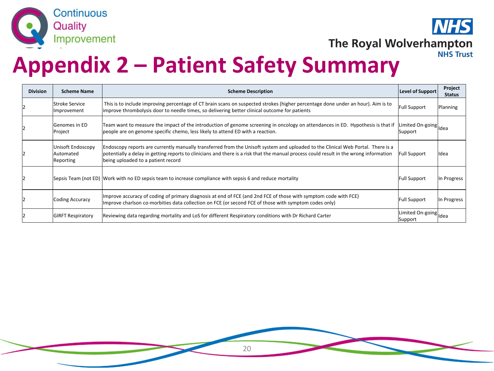



| <b>Division</b> | <b>Scheme Name</b>                           | <b>Scheme Description</b>                                                                                                                                                                                                                                                                                        | Level of Support                 | Project<br><b>Status</b> |
|-----------------|----------------------------------------------|------------------------------------------------------------------------------------------------------------------------------------------------------------------------------------------------------------------------------------------------------------------------------------------------------------------|----------------------------------|--------------------------|
|                 | <b>Stroke Service</b><br>Improvement         | This is to include improving percentage of CT brain scans on suspected strokes (higher percentage done under an hour). Aim is to<br>improve thrombolysis door to needle times, so delivering better clinical outcome for patients                                                                                | <b>Full Support</b>              | Planning                 |
|                 | lGenomes in ED<br>Project                    | Team want to measure the impact of the introduction of genome screening in oncology on attendances in ED. Hypothesis is that if<br>people are on genome specific chemo, less likely to attend ED with a reaction.                                                                                                | Limited On-going Idea<br>Support |                          |
|                 | Unisoft Endoscopy<br>lAutomated<br>Reporting | Endoscopy reports are currently manually transferred from the Unisoft system and uploaded to the Clinical Web Portal. There is a<br>potentially a delay in getting reports to clinicians and there is a risk that the manual process could result in the wrong information<br>being uploaded to a patient record | <b>Full Support</b>              | lldea                    |
|                 |                                              | Sepsis Team (not ED) Work with no ED sepsis team to increase compliance with sepsis 6 and reduce mortality                                                                                                                                                                                                       | <b>Full Support</b>              | In Progress              |
|                 | <b>Coding Accuracy</b>                       | Improve accuracy of coding of primary diagnosis at end of FCE (and 2nd FCE of those with symptom code with FCE)<br>Improve charlson co-morbities data collection on FCE (or second FCE of those with symptom codes only)                                                                                         | <b>Full Support</b>              | In Progress              |
|                 | <b>GIRFT Respiratory</b>                     | Reviewing data regarding mortality and LoS for different Respiratory conditions with Dr Richard Carter                                                                                                                                                                                                           | Limited On-going Idea<br>Support |                          |

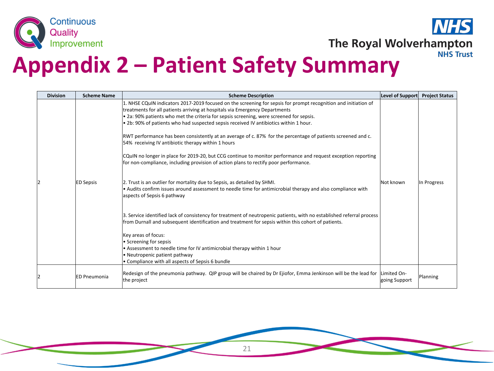



| <b>Division</b> | <b>Scheme Name</b>  | <b>Scheme Description</b>                                                                                                                                                                                                                                                                                                                                                                                                                                                                                                                                                                                                                                                                                                                                                                                                                                                                                                                                                                                                                                                                                                                                                                                                                                                                                                                                                                                                                   | Level of Support             | <b>Project Status</b> |
|-----------------|---------------------|---------------------------------------------------------------------------------------------------------------------------------------------------------------------------------------------------------------------------------------------------------------------------------------------------------------------------------------------------------------------------------------------------------------------------------------------------------------------------------------------------------------------------------------------------------------------------------------------------------------------------------------------------------------------------------------------------------------------------------------------------------------------------------------------------------------------------------------------------------------------------------------------------------------------------------------------------------------------------------------------------------------------------------------------------------------------------------------------------------------------------------------------------------------------------------------------------------------------------------------------------------------------------------------------------------------------------------------------------------------------------------------------------------------------------------------------|------------------------------|-----------------------|
|                 | <b>ED Sepsis</b>    | 1. NHSE CQuIN indicators 2017-2019 focused on the screening for sepsis for prompt recognition and initiation of<br>treatments for all patients arriving at hospitals via Emergency Departments<br>. 2a: 90% patients who met the criteria for sepsis screening, were screened for sepsis.<br>. 2b: 90% of patients who had suspected sepsis received IV antibiotics within 1 hour.<br>RWT performance has been consistently at an average of c. 87% for the percentage of patients screened and c.<br>54% receiving IV antibiotic therapy within 1 hours<br>CQuIN no longer in place for 2019-20, but CCG continue to monitor performance and request exception reporting<br>for non-compliance, including provision of action plans to rectify poor performance.<br>2. Trust is an outlier for mortality due to Sepsis, as detailed by SHMI.<br>• Audits confirm issues around assessment to needle time for antimicrobial therapy and also compliance with<br>aspects of Sepsis 6 pathway<br>3. Service identified lack of consistency for treatment of neutropenic patients, with no established referral process<br>from Durnall and subsequent identification and treatment for sepsis within this cohort of patients.<br>Key areas of focus:<br>• Screening for sepsis<br>• Assessment to needle time for IV antimicrobial therapy within 1 hour<br>• Neutropenic patient pathway<br>• Compliance with all aspects of Sepsis 6 bundle | Not known                    | In Progress           |
|                 | <b>ED Pneumonia</b> | Redesign of the pneumonia pathway. QIP group will be chaired by Dr Ejiofor, Emma Jenkinson will be the lead for<br>the project                                                                                                                                                                                                                                                                                                                                                                                                                                                                                                                                                                                                                                                                                                                                                                                                                                                                                                                                                                                                                                                                                                                                                                                                                                                                                                              | Limited On-<br>going Support | Planning              |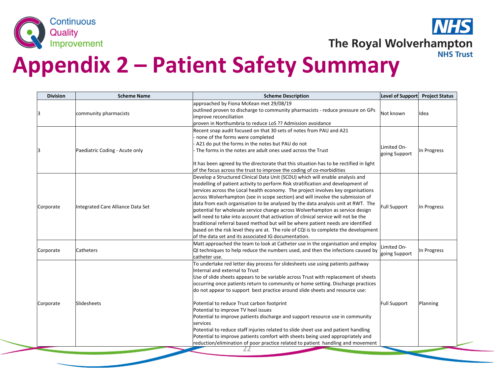



| <b>Division</b> | <b>Scheme Name</b>                | <b>Scheme Description</b>                                                                                                                                                                                                                                                                                                                                                                                                                                                                                                                                                                                                                                                                                                                                                                                                             | Level of Support             | <b>Project Status</b> |
|-----------------|-----------------------------------|---------------------------------------------------------------------------------------------------------------------------------------------------------------------------------------------------------------------------------------------------------------------------------------------------------------------------------------------------------------------------------------------------------------------------------------------------------------------------------------------------------------------------------------------------------------------------------------------------------------------------------------------------------------------------------------------------------------------------------------------------------------------------------------------------------------------------------------|------------------------------|-----------------------|
| 3               | community pharmacists             | approached by Fiona McKean met 29/08/19<br>outlined proven to discharge to community pharmacists - reduce pressure on GPs<br>improve reconciliation<br>proven in Northumbria to reduce LoS ?? Admission avoidance                                                                                                                                                                                                                                                                                                                                                                                                                                                                                                                                                                                                                     | Not known                    | lIdea                 |
| lЗ              | Paediatric Coding - Acute only    | Recent snap audit focused on that 30 sets of notes from PAU and A21<br>none of the forms were completed<br>A21 do put the forms in the notes but PAU do not<br>The forms in the notes are adult ones used across the Trust<br>It has been agreed by the directorate that this situation has to be rectified in light<br>of the focus across the trust to improve the coding of co-morbidities                                                                                                                                                                                                                                                                                                                                                                                                                                         | Limited On-<br>going Support | In Progress           |
| Corporate       | Integrated Care Alliance Data Set | Develop a Structured Clinical Data Unit (SCDU) which will enable analysis and<br>modelling of patient activity to perform Risk stratification and development of<br>services across the Local health economy. The project involves key organisations<br>across Wolverhampton (see in scope section) and will involve the submission of<br>data from each organisation to be analysed by the data analysis unit at RWT. The<br>potential for wholesale service change across Wolverhampton as service design<br>will need to take into account that activation of clinical service will not be the<br>traditional referral based method but will be where patient needs are identified<br>based on the risk level they are at. The role of CQI is to complete the development<br>lof the data set and its associated IG documentation. | <b>Full Support</b>          | In Progress           |
| Corporate       | Catheters                         | Matt approached the team to look at Catheter use in the organisation and employ<br>QI techniques to help reduce the numbers used, and then the infections caused by<br>lcatheter use.                                                                                                                                                                                                                                                                                                                                                                                                                                                                                                                                                                                                                                                 | Limited On-<br>going Support | In Progress           |
| Corporate       | Slidesheets                       | To undertake red letter day process for slidesheets use using patients pathway<br>Internal and external to Trust<br>Use of slide sheets appears to be variable across Trust with replacement of sheets<br>occurring once patients return to community or home setting. Discharge practices<br>do not appear to support best practice around slide sheets and resource use:<br>Potential to reduce Trust carbon footprint<br>Potential to improve TV heel issues<br>Potential to improve patients discharge and support resource use in community<br><b>services</b><br>Potential to reduce staff injuries related to slide sheet use and patient handling<br>Potential to improve patients comfort with sheets being used appropriately and<br>reduction/elimination of poor practice related to patient handling and movement        | <b>Full Support</b>          | Planning              |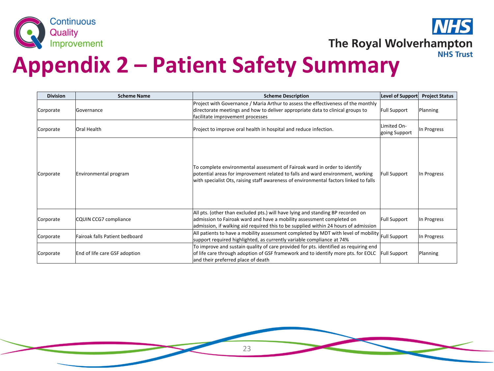



| <b>Division</b> | <b>Scheme Name</b>             | <b>Scheme Description</b>                                                                                                                                                                                                                            | Level of Support             | <b>Project Status</b> |
|-----------------|--------------------------------|------------------------------------------------------------------------------------------------------------------------------------------------------------------------------------------------------------------------------------------------------|------------------------------|-----------------------|
| Corporate       | <b>IGovernance</b>             | Project with Governance / Maria Arthur to assess the effectiveness of the monthly<br>directorate meetings and how to deliver appropriate data to clinical groups to<br>facilitate improvement processes                                              | <b>Full Support</b>          | Planning              |
| Corporate       | <b>Oral Health</b>             | Project to improve oral health in hospital and reduce infection.                                                                                                                                                                                     | Limited On-<br>going Support | In Progress           |
| Corporate       | Environmental program          | To complete environmental assessment of Fairoak ward in order to identify<br>potential areas for improvement related to falls and ward environment, working<br>with specialist Ots, raising staff awareness of environmental factors linked to falls | <b>Full Support</b>          | In Progress           |
| Corporate       | CQUIN CCG7 compliance          | All pts. (other than excluded pts.) will have lying and standing BP recorded on<br>admission to Fairoak ward and have a mobility assessment completed on<br>admission, if walking aid required this to be supplied within 24 hours of admission      | <b>Full Support</b>          | In Progress           |
| Corporate       | Fairoak falls Patient bedboard | All patients to have a mobility assessment completed by MDT with level of mobility<br>support required highlighted, as currently variable compliance at 74%                                                                                          | Full Support                 | In Progress           |
| Corporate       | End of life care GSF adoption  | To improve and sustain quality of care provided for pts. identified as requiring end<br>of life care through adoption of GSF framework and to identify more pts. for EOLC<br>and their preferred place of death                                      | <b>Full Support</b>          | Planning              |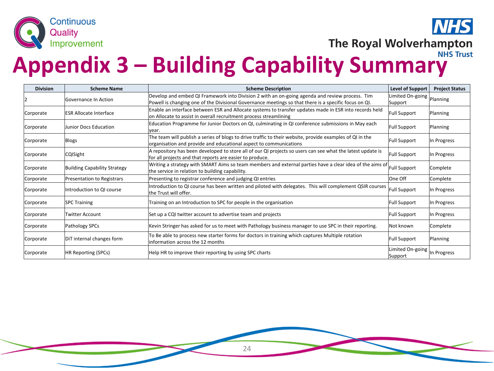

The Royal Wolverhampton

**Appendix 3 – Building Capability Summary** 

| <b>Division</b> | <b>Scheme Name</b>           | <b>Scheme Description</b>                                                                                                                                                                               | <b>Level of Support</b>     | <b>Project Status</b> |
|-----------------|------------------------------|---------------------------------------------------------------------------------------------------------------------------------------------------------------------------------------------------------|-----------------------------|-----------------------|
|                 | lGovernance In Action        | Develop and embed QI Framework into Division 2 with an on-going agenda and review process. Tim<br>Powell is changing one of the Divisional Governance meetings so that there is a specific focus on QI. | Limited On-going<br>Support | Planning              |
| Corporate       | IESR Allocate Interface      | Enable an interface between ESR and Allocate systems to transfer updates made in ESR into records held<br>on Allocate to assist in overall recruitment process streamlining                             | Full Support                | Planning              |
| Corporate       | Junior Docs Education        | Education Programme for Junior Doctors on QI, culminating in QI conference submissions in May each<br>year.                                                                                             | <b>Full Support</b>         | Planning              |
| Corporate       | Blogs                        | The team will publish a series of blogs to drive traffic to their website, provide examples of QI in the<br>organisation and provide and educational aspect to communications                           | <b>Full Support</b>         | In Progress           |
| Corporate       | CQISight                     | A repository has been developed to store all of our QI projects so users can see what the latest update is<br>for all projects and that reports are easier to produce.                                  | <b>Full Support</b>         | In Progress           |
| Corporate       | Building Capability Strategy | Writing a strategy with SMART Aims so team members and external parties have a clear idea of the aims of<br>the service in relation to building capability.                                             | Full Support                | Complete              |
| Corporate       | Presentation to Registrars   | Presenting to registrar conference and judging QI entries                                                                                                                                               | One Off                     | Complete              |
| Corporate       | lIntroduction to QI course   | Introduction to QI course has been written and piloted with delegates. This will complement QSIR courses<br>lthe Trust will offer.                                                                      | Full Support                | In Progress           |
| Corporate       | <b>SPC Training</b>          | Training on an Introduction to SPC for people in the organisation                                                                                                                                       | Full Support                | In Progress           |
| Corporate       | Twitter Account              | Set up a CQI twitter account to advertise team and projects                                                                                                                                             | Full Support                | In Progress           |
| Corporate       | Pathology SPCs               | Kevin Stringer has asked for us to meet with Pathology business manager to use SPC in their reporting.                                                                                                  | lNot known                  | Complete              |
| Corporate       | DiT internal changes form    | To Be able to process new starter forms for doctors in training which captures Multiple rotation<br>information across the 12 months                                                                    | Full Support                | Planning              |
| Corporate       | HR Reporting (SPCs)          | Help HR to improve their reporting by using SPC charts                                                                                                                                                  | Limited On-going<br>Support | In Progress           |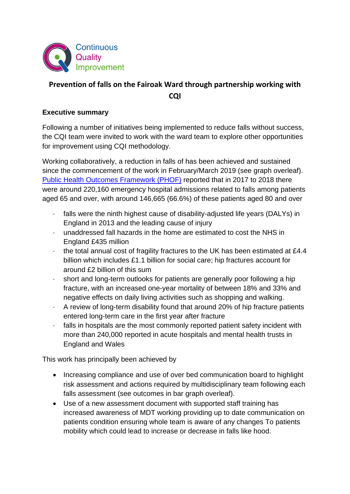

#### **Prevention of falls on the Fairoak Ward through partnership working with CQI**

#### **Executive summary**

Following a number of initiatives being implemented to reduce falls without success, the CQI team were invited to work with the ward team to explore other opportunities for improvement using CQI methodology.

Working collaboratively, a reduction in falls of has been achieved and sustained since the commencement of the work in February/March 2019 (see graph overleaf). [Public Health Outcomes Framework \(PHOF\)](http://www.phoutcomes.info/search/falls%20in%20older%20people) reported that in 2017 to 2018 there were around 220,160 emergency hospital admissions related to falls among patients aged 65 and over, with around 146,665 (66.6%) of these patients aged 80 and over

- · falls were the ninth highest cause of disability-adjusted life years (DALYs) in England in 2013 and the leading cause of injury
- · unaddressed fall hazards in the home are estimated to cost the NHS in England £435 million
- · the total annual cost of fragility fractures to the UK has been estimated at £4.4 billion which includes £1.1 billion for social care; hip fractures account for around £2 billion of this sum
- · short and long-term outlooks for patients are generally poor following a hip fracture, with an increased one-year mortality of between 18% and 33% and negative effects on daily living activities such as shopping and walking.
- · A review of long-term disability found that around 20% of hip fracture patients entered long-term care in the first year after fracture
- · falls in hospitals are the most commonly reported patient safety incident with more than 240,000 reported in acute hospitals and mental health trusts in England and Wales

This work has principally been achieved by

- Increasing compliance and use of over bed communication board to highlight risk assessment and actions required by multidisciplinary team following each falls assessment (see outcomes in bar graph overleaf).
- Use of a new assessment document with supported staff training has increased awareness of MDT working providing up to date communication on patients condition ensuring whole team is aware of any changes To patients mobility which could lead to increase or decrease in falls like hood.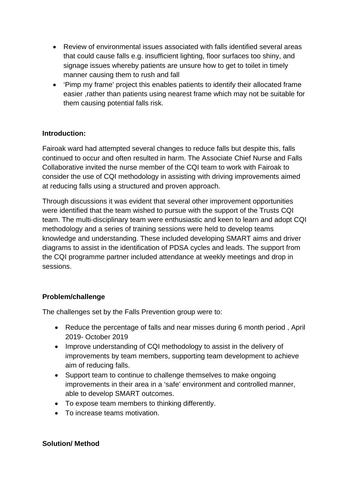- Review of environmental issues associated with falls identified several areas that could cause falls e.g. insufficient lighting, floor surfaces too shiny, and signage issues whereby patients are unsure how to get to toilet in timely manner causing them to rush and fall
- 'Pimp my frame' project this enables patients to identify their allocated frame easier ,rather than patients using nearest frame which may not be suitable for them causing potential falls risk.

#### **Introduction:**

Fairoak ward had attempted several changes to reduce falls but despite this, falls continued to occur and often resulted in harm. The Associate Chief Nurse and Falls Collaborative invited the nurse member of the CQI team to work with Fairoak to consider the use of CQI methodology in assisting with driving improvements aimed at reducing falls using a structured and proven approach.

Through discussions it was evident that several other improvement opportunities were identified that the team wished to pursue with the support of the Trusts CQI team. The multi-disciplinary team were enthusiastic and keen to learn and adopt CQI methodology and a series of training sessions were held to develop teams knowledge and understanding. These included developing SMART aims and driver diagrams to assist in the identification of PDSA cycles and leads. The support from the CQI programme partner included attendance at weekly meetings and drop in sessions.

#### **Problem/challenge**

The challenges set by the Falls Prevention group were to:

- Reduce the percentage of falls and near misses during 6 month period , April 2019- October 2019
- Improve understanding of CQI methodology to assist in the delivery of improvements by team members, supporting team development to achieve aim of reducing falls.
- Support team to continue to challenge themselves to make ongoing improvements in their area in a 'safe' environment and controlled manner, able to develop SMART outcomes.
- To expose team members to thinking differently.
- To increase teams motivation.

#### **Solution/ Method**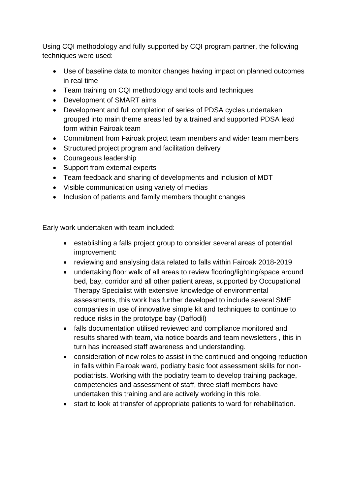Using CQI methodology and fully supported by CQI program partner, the following techniques were used:

- Use of baseline data to monitor changes having impact on planned outcomes in real time
- Team training on CQI methodology and tools and techniques
- Development of SMART aims
- Development and full completion of series of PDSA cycles undertaken grouped into main theme areas led by a trained and supported PDSA lead form within Fairoak team
- Commitment from Fairoak project team members and wider team members
- Structured project program and facilitation delivery
- Courageous leadership
- Support from external experts
- Team feedback and sharing of developments and inclusion of MDT
- Visible communication using variety of medias
- Inclusion of patients and family members thought changes

Early work undertaken with team included:

- establishing a falls project group to consider several areas of potential improvement:
- reviewing and analysing data related to falls within Fairoak 2018-2019
- undertaking floor walk of all areas to review flooring/lighting/space around bed, bay, corridor and all other patient areas, supported by Occupational Therapy Specialist with extensive knowledge of environmental assessments, this work has further developed to include several SME companies in use of innovative simple kit and techniques to continue to reduce risks in the prototype bay (Daffodil)
- falls documentation utilised reviewed and compliance monitored and results shared with team, via notice boards and team newsletters , this in turn has increased staff awareness and understanding.
- consideration of new roles to assist in the continued and ongoing reduction in falls within Fairoak ward, podiatry basic foot assessment skills for nonpodiatrists. Working with the podiatry team to develop training package, competencies and assessment of staff, three staff members have undertaken this training and are actively working in this role.
- start to look at transfer of appropriate patients to ward for rehabilitation.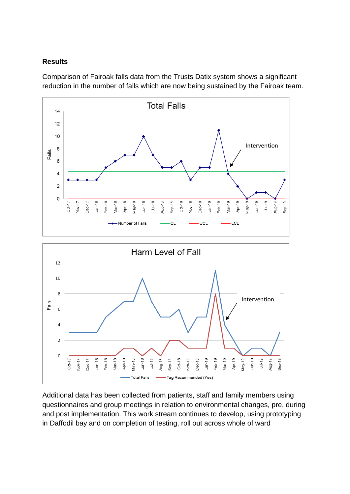#### **Results**

Comparison of Fairoak falls data from the Trusts Datix system shows a significant reduction in the number of falls which are now being sustained by the Fairoak team.



Additional data has been collected from patients, staff and family members using questionnaires and group meetings in relation to environmental changes, pre, during and post implementation. This work stream continues to develop, using prototyping in Daffodil bay and on completion of testing, roll out across whole of ward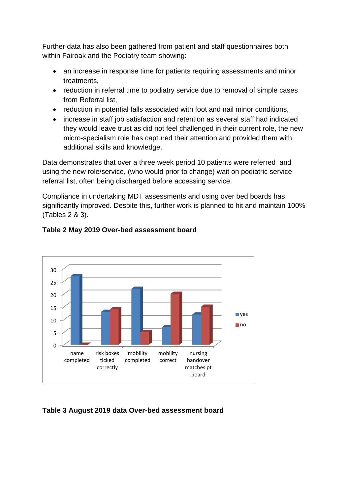Further data has also been gathered from patient and staff questionnaires both within Fairoak and the Podiatry team showing:

- an increase in response time for patients requiring assessments and minor treatments,
- reduction in referral time to podiatry service due to removal of simple cases from Referral list,
- reduction in potential falls associated with foot and nail minor conditions,
- increase in staff job satisfaction and retention as several staff had indicated they would leave trust as did not feel challenged in their current role, the new micro-specialism role has captured their attention and provided them with additional skills and knowledge.

Data demonstrates that over a three week period 10 patients were referred and using the new role/service, (who would prior to change) wait on podiatric service referral list, often being discharged before accessing service.

Compliance in undertaking MDT assessments and using over bed boards has significantly improved. Despite this, further work is planned to hit and maintain 100% (Tables 2 & 3).



#### **Table 2 May 2019 Over-bed assessment board**

#### **Table 3 August 2019 data Over-bed assessment board**